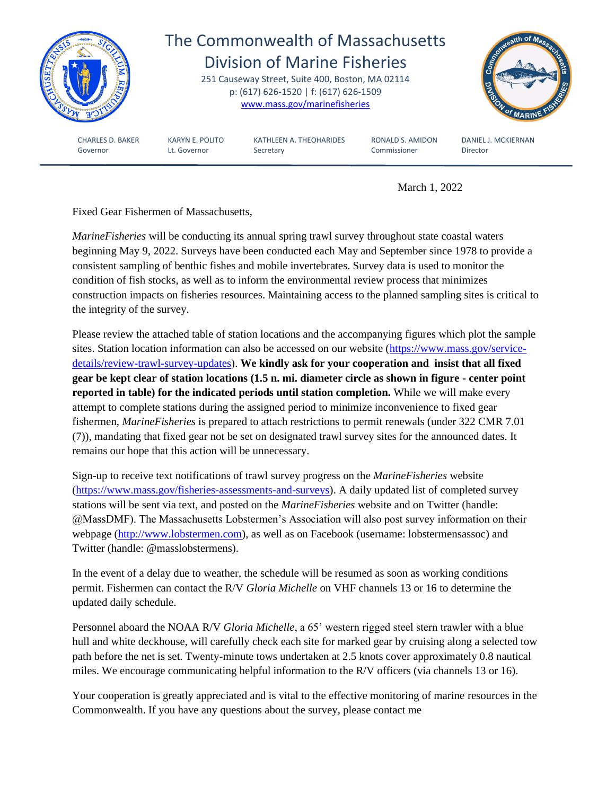

March 1, 2022

Fixed Gear Fishermen of Massachusetts,

*MarineFisheries* will be conducting its annual spring trawl survey throughout state coastal waters beginning May 9, 2022. Surveys have been conducted each May and September since 1978 to provide a consistent sampling of benthic fishes and mobile invertebrates. Survey data is used to monitor the condition of fish stocks, as well as to inform the environmental review process that minimizes construction impacts on fisheries resources. Maintaining access to the planned sampling sites is critical to the integrity of the survey.

Please review the attached table of station locations and the accompanying figures which plot the sample sites. Station location information can also be accessed on our website [\(https://www.mass.gov/service](https://www.mass.gov/service-details/review-trawl-survey-updates)[details/review-trawl-survey-updates\)](https://www.mass.gov/service-details/review-trawl-survey-updates). **We kindly ask for your cooperation and insist that all fixed gear be kept clear of station locations (1.5 n. mi. diameter circle as shown in figure - center point reported in table) for the indicated periods until station completion.** While we will make every attempt to complete stations during the assigned period to minimize inconvenience to fixed gear fishermen, *MarineFisheries* is prepared to attach restrictions to permit renewals (under 322 CMR 7.01 (7)), mandating that fixed gear not be set on designated trawl survey sites for the announced dates. It remains our hope that this action will be unnecessary.

Sign-up to receive text notifications of trawl survey progress on the *MarineFisheries* website [\(https://www.mass.gov/fisheries-assessments-and-surveys\)](https://www.mass.gov/fisheries-assessments-and-surveys). A daily updated list of completed survey stations will be sent via text, and posted on the *MarineFisheries* website and on Twitter (handle: @MassDMF). The Massachusetts Lobstermen's Association will also post survey information on their webpage [\(http://www.lobstermen.com\)](http://www.lobstermen.com/), as well as on Facebook (username: lobstermensassoc) and Twitter (handle: @masslobstermens).

In the event of a delay due to weather, the schedule will be resumed as soon as working conditions permit. Fishermen can contact the R/V *Gloria Michelle* on VHF channels 13 or 16 to determine the updated daily schedule.

Personnel aboard the NOAA R/V *Gloria Michelle*, a 65' western rigged steel stern trawler with a blue hull and white deckhouse, will carefully check each site for marked gear by cruising along a selected tow path before the net is set. Twenty-minute tows undertaken at 2.5 knots cover approximately 0.8 nautical miles. We encourage communicating helpful information to the R/V officers (via channels 13 or 16).

Your cooperation is greatly appreciated and is vital to the effective monitoring of marine resources in the Commonwealth. If you have any questions about the survey, please contact me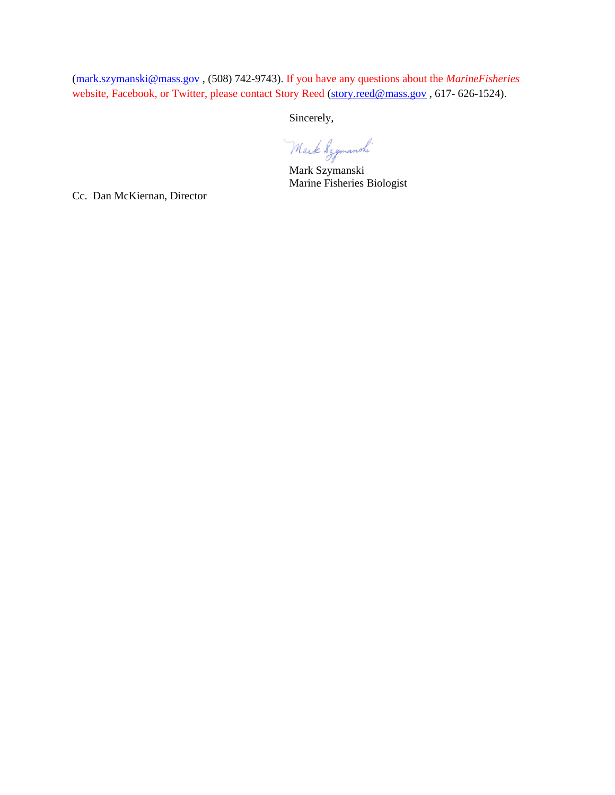[\(mark.szymanski@mass.gov](mailto:mark.szymanski@mass.gov) , (508) 742-9743). If you have any questions about the *MarineFisheries*  website, Facebook, or Twitter, please contact Story Reed [\(story.reed@mass.gov](mailto:story.reed@mass.gov), 617-626-1524).

Sincerely,

Mark Szymanski

Mark Szymanski Marine Fisheries Biologist

Cc. Dan McKiernan, Director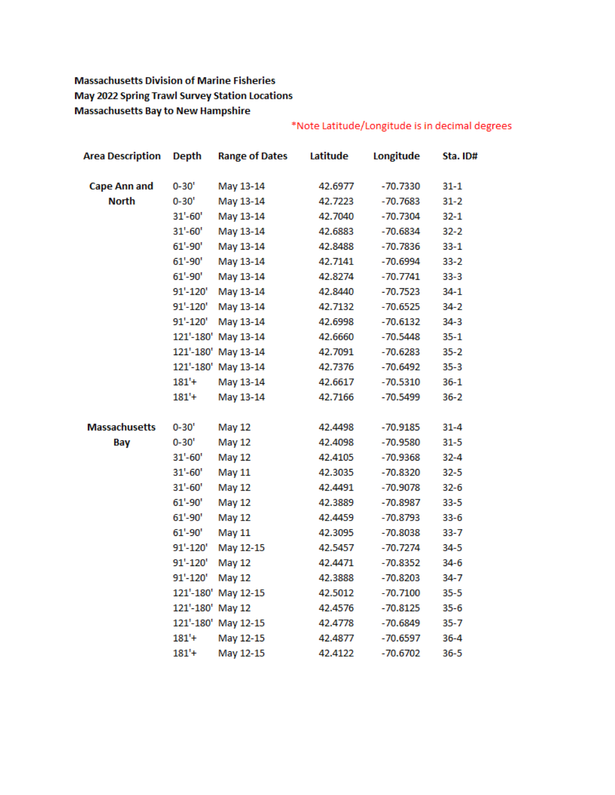# **Massachusetts Division of Marine Fisheries May 2022 Spring Trawl Survey Station Locations Massachusetts Bay to New Hampshire**

| <b>Area Description</b> | <b>Depth</b> | <b>Range of Dates</b> | Latitude | Longitude  | Sta. ID# |
|-------------------------|--------------|-----------------------|----------|------------|----------|
| <b>Cape Ann and</b>     | $0 - 30'$    | May 13-14             | 42.6977  | $-70.7330$ | $31 - 1$ |
| <b>North</b>            | $0 - 30'$    | May 13-14             | 42.7223  | $-70.7683$ | $31 - 2$ |
|                         | $31'-60'$    | May 13-14             | 42.7040  | $-70.7304$ | $32 - 1$ |
|                         | $31'-60'$    | May 13-14             | 42.6883  | $-70.6834$ | $32 - 2$ |
|                         | $61' - 90'$  | May 13-14             | 42.8488  | $-70.7836$ | $33 - 1$ |
|                         | $61' - 90'$  | May 13-14             | 42.7141  | -70.6994   | $33 - 2$ |
|                         | $61' - 90'$  | May 13-14             | 42.8274  | $-70.7741$ | $33-3$   |
|                         | 91'-120'     | May 13-14             | 42.8440  | $-70.7523$ | $34 - 1$ |
|                         | 91'-120'     | May 13-14             | 42.7132  | $-70.6525$ | $34 - 2$ |
|                         | 91'-120'     | May 13-14             | 42.6998  | $-70.6132$ | $34 - 3$ |
|                         |              | 121'-180' May 13-14   | 42.6660  | $-70.5448$ | $35 - 1$ |
|                         |              | 121'-180' May 13-14   | 42.7091  | $-70.6283$ | $35 - 2$ |
|                         |              | 121'-180' May 13-14   | 42.7376  | $-70.6492$ | $35 - 3$ |
|                         | $181' +$     | May 13-14             | 42.6617  | $-70.5310$ | $36 - 1$ |
|                         | 181'+        | May 13-14             | 42.7166  | $-70.5499$ | $36 - 2$ |
| <b>Massachusetts</b>    | $0 - 30'$    | <b>May 12</b>         | 42.4498  | $-70.9185$ | $31 - 4$ |
| Bay                     | $0 - 30'$    | <b>May 12</b>         | 42.4098  | $-70.9580$ | $31 - 5$ |
|                         | $31'-60'$    | <b>May 12</b>         | 42.4105  | $-70.9368$ | $32 - 4$ |
|                         | $31'-60'$    | <b>May 11</b>         | 42.3035  | $-70.8320$ | $32 - 5$ |
|                         | $31'-60'$    | <b>May 12</b>         | 42.4491  | $-70.9078$ | $32 - 6$ |
|                         | $61' - 90'$  | May 12                | 42.3889  | $-70.8987$ | $33 - 5$ |
|                         | $61' - 90'$  | <b>May 12</b>         | 42.4459  | $-70.8793$ | $33 - 6$ |
|                         | $61' - 90'$  | <b>May 11</b>         | 42.3095  | $-70.8038$ | $33 - 7$ |
|                         | 91'-120'     | May 12-15             | 42.5457  | $-70.7274$ | $34 - 5$ |
|                         | 91'-120'     | <b>May 12</b>         | 42.4471  | $-70.8352$ | $34-6$   |
|                         | 91'-120'     | <b>May 12</b>         | 42.3888  | -70.8203   | 34-7     |
|                         | 121'-180'    | May 12-15             | 42.5012  | $-70.7100$ | $35 - 5$ |
|                         | 121'-180'    | May 12                | 42.4576  | $-70.8125$ | $35 - 6$ |
|                         |              | 121'-180' May 12-15   | 42.4778  | $-70.6849$ | $35 - 7$ |
|                         | $181' +$     | May 12-15             | 42.4877  | $-70.6597$ | $36 - 4$ |
|                         | $181'$ +     | May 12-15             | 42.4122  | -70.6702   | 36-5     |

# \*Note Latitude/Longitude is in decimal degrees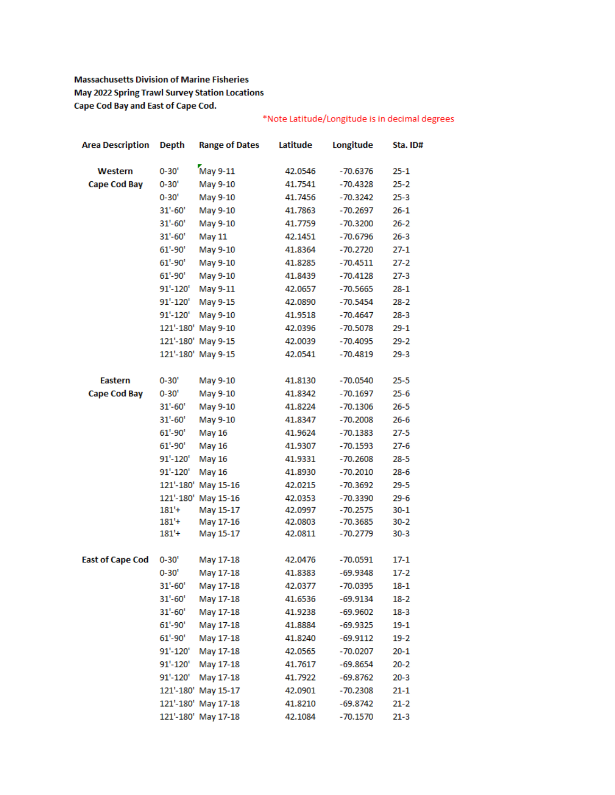### **Massachusetts Division of Marine Fisheries** May 2022 Spring Trawl Survey Station Locations Cape Cod Bay and East of Cape Cod.

## \*Note Latitude/Longitude is in decimal degrees

| <b>Area Description</b> | <b>Depth</b> | <b>Range of Dates</b> | Latitude | Longitude  | Sta. ID# |
|-------------------------|--------------|-----------------------|----------|------------|----------|
| Western                 | $0 - 30'$    | May 9-11              | 42.0546  | $-70.6376$ | $25 - 1$ |
| <b>Cape Cod Bay</b>     | 0-30'        | May 9-10              | 41.7541  | $-70.4328$ | $25 - 2$ |
|                         | $0 - 30'$    | May 9-10              | 41.7456  | $-70.3242$ | $25 - 3$ |
|                         | $31' - 60'$  | May 9-10              | 41.7863  | $-70.2697$ | $26-1$   |
|                         | $31'-60'$    | May 9-10              | 41.7759  | $-70.3200$ | $26 - 2$ |
|                         | $31'-60'$    | May 11                | 42.1451  | $-70.6796$ | $26 - 3$ |
|                         | $61' - 90'$  | May 9-10              | 41.8364  | $-70.2720$ | $27 - 1$ |
|                         | $61' - 90'$  | May 9-10              | 41.8285  | $-70.4511$ | $27 - 2$ |
|                         | $61' - 90'$  | May 9-10              | 41.8439  | $-70.4128$ | $27-3$   |
|                         | 91'-120'     | May 9-11              | 42.0657  | $-70.5665$ | $28 - 1$ |
|                         | 91'-120'     | May 9-15              | 42.0890  | $-70.5454$ | $28 - 2$ |
|                         | 91'-120'     | May 9-10              | 41.9518  | $-70.4647$ | $28 - 3$ |
|                         | 121'-180'    | May 9-10              | 42.0396  | $-70.5078$ | $29-1$   |
|                         |              | 121'-180' May 9-15    | 42.0039  | $-70.4095$ | $29 - 2$ |
|                         |              | 121'-180' May 9-15    | 42.0541  | $-70.4819$ | $29-3$   |
| <b>Eastern</b>          | $0 - 30'$    | May 9-10              | 41.8130  | $-70.0540$ | $25 - 5$ |
| <b>Cape Cod Bay</b>     | $0 - 30'$    | May 9-10              | 41.8342  | $-70.1697$ | $25 - 6$ |
|                         | $31'-60'$    | May 9-10              | 41.8224  | $-70.1306$ | $26 - 5$ |
|                         | $31' - 60'$  | May 9-10              | 41.8347  | $-70.2008$ | $26 - 6$ |
|                         | $61' - 90'$  | <b>May 16</b>         | 41.9624  | $-70.1383$ | $27 - 5$ |
|                         | $61' - 90'$  | <b>May 16</b>         | 41.9307  | $-70.1593$ | $27 - 6$ |
|                         | 91'-120'     | <b>May 16</b>         | 41.9331  | $-70.2608$ | $28 - 5$ |
|                         | 91'-120'     | May 16                | 41.8930  | $-70.2010$ | $28 - 6$ |
|                         | 121'-180'    | May 15-16             | 42.0215  | $-70.3692$ | $29 - 5$ |
|                         | 121'-180'    | May 15-16             | 42.0353  | $-70.3390$ | $29 - 6$ |
|                         | $181' +$     | May 15-17             | 42.0997  | $-70.2575$ | $30 - 1$ |
|                         | $181' +$     | May 17-16             | 42.0803  | $-70.3685$ | $30 - 2$ |
|                         | 181'         | May 15-17             | 42.0811  | -70.2779   | $30 - 3$ |
| <b>East of Cape Cod</b> | $0 - 30'$    | May 17-18             | 42.0476  | $-70.0591$ | $17 - 1$ |
|                         | $0 - 30'$    | May 17-18             | 41.8383  | $-69.9348$ | 17-2     |
|                         | $31' - 60'$  | May 17-18             | 42.0377  | $-70.0395$ | $18-1$   |
|                         | $31'-60'$    | May 17-18             | 41.6536  | -69.9134   | $18-2$   |
|                         | $31'-60'$    | May 17-18             | 41.9238  | $-69.9602$ | $18-3$   |
|                         | $61' - 90'$  | May 17-18             | 41.8884  | -69.9325   | $19-1$   |
|                         | $61' - 90'$  | May 17-18             | 41.8240  | $-69.9112$ | $19-2$   |
|                         | 91'-120'     | May 17-18             | 42.0565  | $-70.0207$ | $20 - 1$ |
|                         | 91'-120'     | May 17-18             | 41.7617  | $-69.8654$ | $20 - 2$ |
|                         | 91'-120'     | May 17-18             | 41.7922  | $-69.8762$ | $20 - 3$ |
|                         |              | 121'-180' May 15-17   | 42.0901  | $-70.2308$ | $21 - 1$ |
|                         |              | 121'-180' May 17-18   | 41.8210  | $-69.8742$ | $21 - 2$ |
|                         |              | 121'-180' May 17-18   | 42.1084  | -70.1570   | $21 - 3$ |